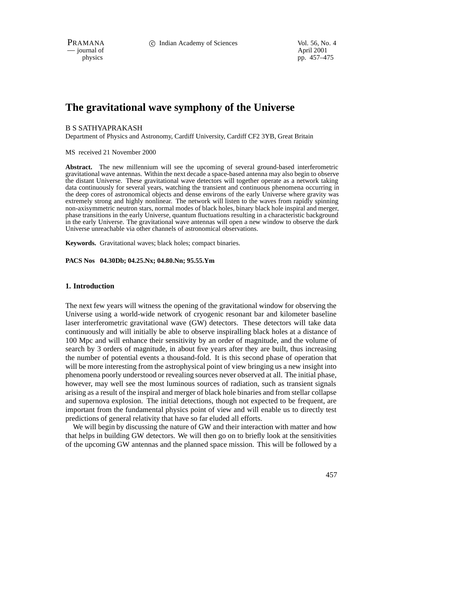$\overline{\phantom{a}}$  journal of

physics pp. 457–475

# **The gravitational wave symphony of the Universe**

## B S SATHYAPRAKASH

Department of Physics and Astronomy, Cardiff University, Cardiff CF2 3YB, Great Britain

MS received 21 November 2000

**Abstract.** The new millennium will see the upcoming of several ground-based interferometric gravitational wave antennas. Within the next decade a space-based antenna may also begin to observe the distant Universe. These gravitational wave detectors will together operate as a network taking data continuously for several years, watching the transient and continuous phenomena occurring in the deep cores of astronomical objects and dense environs of the early Universe where gravity was extremely strong and highly nonlinear. The network will listen to the waves from rapidly spinning non-axisymmetric neutron stars, normal modes of black holes, binary black hole inspiral and merger, phase transitions in the early Universe, quantum fluctuations resulting in a characteristic background in the early Universe. The gravitational wave antennas will open a new window to observe the dark Universe unreachable via other channels of astronomical observations.

**Keywords.** Gravitational waves; black holes; compact binaries.

#### **PACS Nos 04.30Db; 04.25.Nx; 04.80.Nn; 95.55.Ym**

## **1. Introduction**

The next few years will witness the opening of the gravitational window for observing the Universe using a world-wide network of cryogenic resonant bar and kilometer baseline laser interferometric gravitational wave (GW) detectors. These detectors will take data continuously and will initially be able to observe inspiralling black holes at a distance of 100 Mpc and will enhance their sensitivity by an order of magnitude, and the volume of search by 3 orders of magnitude, in about five years after they are built, thus increasing the number of potential events a thousand-fold. It is this second phase of operation that will be more interesting from the astrophysical point of view bringing us a new insight into phenomena poorly understood or revealing sources never observed at all. The initial phase, however, may well see the most luminous sources of radiation, such as transient signals arising as a result of the inspiral and merger of black hole binaries and from stellar collapse and supernova explosion. The initial detections, though not expected to be frequent, are important from the fundamental physics point of view and will enable us to directly test predictions of general relativity that have so far eluded all efforts.

We will begin by discussing the nature of GW and their interaction with matter and how that helps in building GW detectors. We will then go on to briefly look at the sensitivities of the upcoming GW antennas and the planned space mission. This will be followed by a

457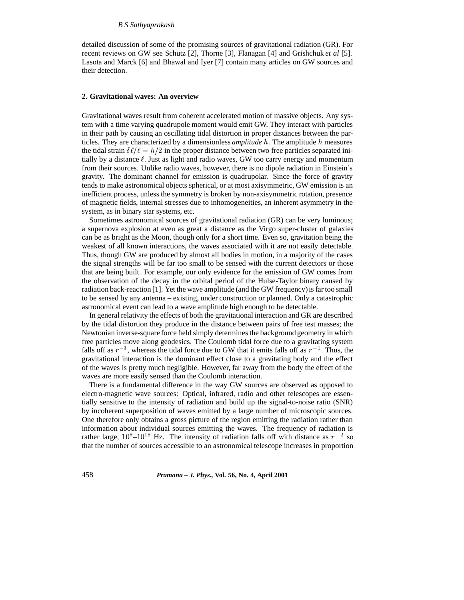detailed discussion of some of the promising sources of gravitational radiation (GR). For recent reviews on GW see Schutz [2], Thorne [3], Flanagan [4] and Grishchuk *et al* [5]. Lasota and Marck [6] and Bhawal and Iyer [7] contain many articles on GW sources and their detection.

# **2. Gravitational waves: An overview**

Gravitational waves result from coherent accelerated motion of massive objects. Any system with a time varying quadrupole moment would emit GW. They interact with particles in their path by causing an oscillating tidal distortion in proper distances between the particles. They are characterized by a dimensionless *amplitude* h: The amplitude h measures the tidal strain  $\delta\ell/\ell = h/2$  in the proper distance between two free particles separated initially by a distance  $\ell$ . Just as light and radio waves, GW too carry energy and momentum from their sources. Unlike radio waves, however, there is no dipole radiation in Einstein's gravity. The dominant channel for emission is quadrupolar. Since the force of gravity tends to make astronomical objects spherical, or at most axisymmetric, GW emission is an inefficient process, unless the symmetry is broken by non-axisymmetric rotation, presence of magnetic fields, internal stresses due to inhomogeneities, an inherent asymmetry in the system, as in binary star systems, etc.

Sometimes astronomical sources of gravitational radiation (GR) can be very luminous; a supernova explosion at even as great a distance as the Virgo super-cluster of galaxies can be as bright as the Moon, though only for a short time. Even so, gravitation being the weakest of all known interactions, the waves associated with it are not easily detectable. Thus, though GW are produced by almost all bodies in motion, in a majority of the cases the signal strengths will be far too small to be sensed with the current detectors or those that are being built. For example, our only evidence for the emission of GW comes from the observation of the decay in the orbital period of the Hulse-Taylor binary caused by radiation back-reaction [1]. Yet the wave amplitude (and the GW frequency) is far too small to be sensed by any antenna – existing, under construction or planned. Only a catastrophic astronomical event can lead to a wave amplitude high enough to be detectable.

In general relativity the effects of both the gravitational interaction and GR are described by the tidal distortion they produce in the distance between pairs of free test masses; the Newtonian inverse-square force field simply determines the background geometry in which free particles move along geodesics. The Coulomb tidal force due to a gravitating system falls off as  $r^{-3}$ , whereas the tidal force due to GW that it emits falls off as  $r^{-1}$ . Thus, the gravitational interaction is the dominant effect close to a gravitating body and the effect of the waves is pretty much negligible. However, far away from the body the effect of the waves are more easily sensed than the Coulomb interaction.

There is a fundamental difference in the way GW sources are observed as opposed to electro-magnetic wave sources: Optical, infrared, radio and other telescopes are essentially sensitive to the intensity of radiation and build up the signal-to-noise ratio (SNR) by incoherent superposition of waves emitted by a large number of microscopic sources. One therefore only obtains a gross picture of the region emitting the radiation rather than information about individual sources emitting the waves. The frequency of radiation is rather large,  $10^8 - 10^{18}$  Hz. The intensity of radiation falls off with distance as  $r^{-2}$  so that the number of sources accessible to an astronomical telescope increases in proportion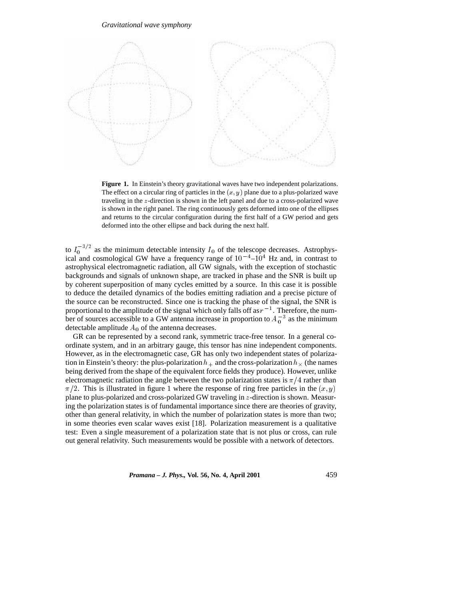

Figure 1. In Einstein's theory gravitational waves have two independent polarizations. The effect on a circular ring of particles in the  $(x, y)$  plane due to a plus-polarized wave traveling in the <sup>z</sup>-direction is shown in the left panel and due to a cross-polarized wave is shown in the right panel. The ring continuously gets deformed into one of the ellipses and returns to the circular configuration during the first half of a GW period and gets deformed into the other ellipse and back during the next half.

to  $I_0^{-3/2}$  as the minimum detectable intensity  $I_0$  of the telescope decreases. Astrophysical and cosmological GW have a frequency range of  $10^{-4}$ – $10^{4}$  Hz and, in contrast to astrophysical electromagnetic radiation, all GW signals, with the exception of stochastic backgrounds and signals of unknown shape, are tracked in phase and the SNR is built up by coherent superposition of many cycles emitted by a source. In this case it is possible to deduce the detailed dynamics of the bodies emitting radiation and a precise picture of the source can be reconstructed. Since one is tracking the phase of the signal, the SNR is proportional to the amplitude of the signal which only falls off as  $r^{-1}$ . Therefore, the number of sources accessible to a GW antenna increase in proportion to  $A_0^{-3}$  as the minimum detectable amplitude  $A_0$  of the antenna decreases.

GR can be represented by a second rank, symmetric trace-free tensor. In a general coordinate system, and in an arbitrary gauge, this tensor has nine independent components. However, as in the electromagnetic case, GR has only two independent states of polarization in Einstein's theory: the plus-polarization  $h_+$  and the cross-polarization  $h_{\times}$  (the names being derived from the shape of the equivalent force fields they produce). However, unlike electromagnetic radiation the angle between the two polarization states is  $\pi/4$  rather than  $\pi/2$ . This is illustrated in figure 1 where the response of ring free particles in the  $(x, y)$ plane to plus-polarized and cross-polarized GW traveling in z-direction is shown. Measuring the polarization states is of fundamental importance since there are theories of gravity, other than general relativity, in which the number of polarization states is more than two; in some theories even scalar waves exist [18]. Polarization measurement is a qualitative test: Even a single measurement of a polarization state that is not plus or cross, can rule out general relativity. Such measurements would be possible with a network of detectors.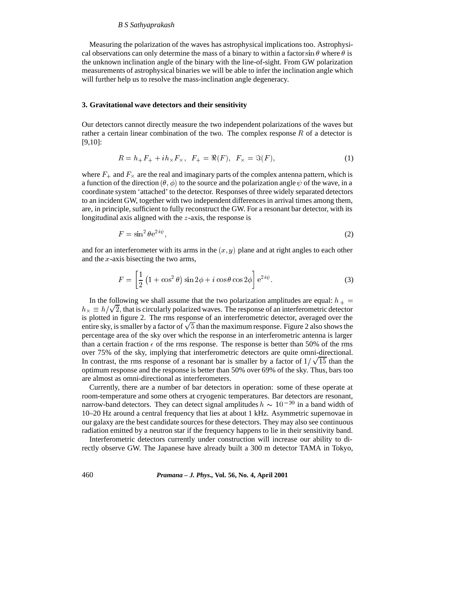Measuring the polarization of the waves has astrophysical implications too. Astrophysical observations can only determine the mass of a binary to within a factor  $\sin \theta$  where  $\theta$  is the unknown inclination angle of the binary with the line-of-sight. From GW polarization measurements of astrophysical binaries we will be able to infer the inclination angle which will further help us to resolve the mass-inclination angle degeneracy.

#### **3. Gravitational wave detectors and their sensitivity**

Our detectors cannot directly measure the two independent polarizations of the waves but rather a certain linear combination of the two. The complex response  $R$  of a detector is [9,10]:

$$
R = h_{+}F_{+} + ih_{\times}F_{\times}, \ \ F_{+} = \Re(F), \ \ F_{\times} = \Im(F), \tag{1}
$$

where  $F_+$  and  $F_\times$  are the real and imaginary parts of the complex antenna pattern, which is a function of the direction  $(\theta, \phi)$  to the source and the polarization angle  $\psi$  of the wave, in a coordinate system 'attached' to the detector. Responses of three widely separated detectors to an incident GW, together with two independent differences in arrival times among them, are, in principle, sufficient to fully reconstruct the GW. For a resonant bar detector, with its longitudinal axis aligned with the z-axis, the response is

$$
F = \sin^2 \theta e^{2i\psi},\tag{2}
$$

and for an interferometer with its arms in the  $(x, y)$  plane and at right angles to each other and the x-axis bisecting the two arms,

$$
F = \left[\frac{1}{2}\left(1 + \cos^2\theta\right)\sin 2\phi + i\cos\theta\cos 2\phi\right]e^{2i\psi}.
$$
 (3)

In the following we shall assume that the two polarization amplitudes are equal:  $h_{+}$  =  $h_{\times} \equiv h/\sqrt{2}$ , that is circularly polarized waves. The response of an interferometric detector is plotted in figure 2. The rms response of an interferometric detector, averaged over the entire sky, is smaller by a factor of  $\sqrt{5}$  than the maximum response. Figure 2 also shows the percentage area of the sky over which the response in an interferometric antenna is larger than a certain fraction  $\epsilon$  of the rms response. The response is better than 50% of the rms over 75% of the sky, implying that interferometric detectors are quite omni-directional. In contrast, the rms response of a resonant bar is smaller by a factor of  $1/\sqrt{15}$  than the optimum response and the response is better than 50% over 69% of the sky. Thus, bars too are almost as omni-directional as interferometers.

Currently, there are a number of bar detectors in operation: some of these operate at room-temperature and some others at cryogenic temperatures. Bar detectors are resonant, narrow-band detectors. They can detect signal amplitudes  $h \sim 10^{-20}$  in a band width of 10–20 Hz around a central frequency that lies at about 1 kHz. Asymmetric supernovae in our galaxy are the best candidate sources for these detectors. They may also see continuous radiation emitted by a neutron star if the frequency happens to lie in their sensitivity band.

Interferometric detectors currently under construction will increase our ability to directly observe GW. The Japanese have already built a 300 m detector TAMA in Tokyo,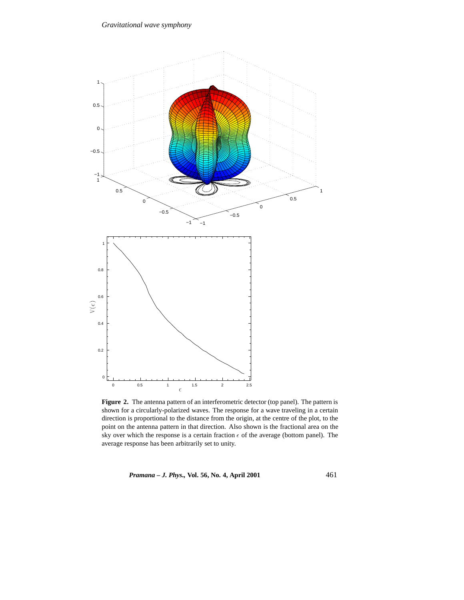

**Figure 2.** The antenna pattern of an interferometric detector (top panel). The pattern is shown for a circularly-polarized waves. The response for a wave traveling in a certain direction is proportional to the distance from the origin, at the centre of the plot, to the point on the antenna pattern in that direction. Also shown is the fractional area on the sky over which the response is a certain fraction  $\epsilon$  of the average (bottom panel). The average response has been arbitrarily set to unity.

*Pramana – J. Phys.,* **Vol. 56, No. 4, April 2001** 461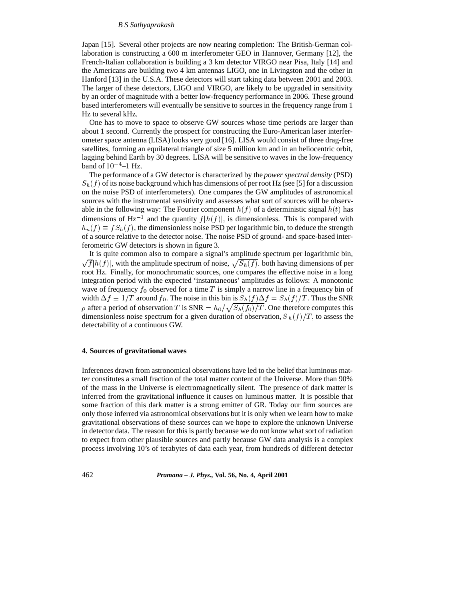Japan [15]. Several other projects are now nearing completion: The British-German collaboration is constructing a 600 m interferometer GEO in Hannover, Germany [12], the French-Italian collaboration is building a 3 km detector VIRGO near Pisa, Italy [14] and the Americans are building two 4 km antennas LIGO, one in Livingston and the other in Hanford [13] in the U.S.A. These detectors will start taking data between 2001 and 2003. The larger of these detectors, LIGO and VIRGO, are likely to be upgraded in sensitivity by an order of magnitude with a better low-frequency performance in 2006. These ground based interferometers will eventually be sensitive to sources in the frequency range from 1 Hz to several kHz.

One has to move to space to observe GW sources whose time periods are larger than about 1 second. Currently the prospect for constructing the Euro-American laser interferometer space antenna (LISA) looks very good [16]. LISA would consist of three drag-free satellites, forming an equilateral triangle of size 5 million km and in an heliocentric orbit, lagging behind Earth by 30 degrees. LISA will be sensitive to waves in the low-frequency band of  $10^{-4}$ –1 Hz.

The performance of a GW detector is characterized by the *power spectral density* (PSD)  $S_h(f)$  of its noise background which has dimensions of per root Hz (see [5] for a discussion on the noise PSD of interferometers). One compares the GW amplitudes of astronomical sources with the instrumental sensitivity and assesses what sort of sources will be observable in the following way: The Fourier component  $h(f)$  of a deterministic signal  $h(t)$  has dimensions of Hz<sup>-1</sup> and the quantity  $f |h(f)|$ , is dimensionless. This is compared with  $h_n(f) \equiv f S_h(f)$ , the dimensionless noise PSD per logarithmic bin, to deduce the strength of a source relative to the detector noise. The noise PSD of ground- and space-based interferometric GW detectors is shown in figure 3.

It is quite common also to compare a signal's amplitude spectrum per logarithmic bin,  $\sqrt{f}$ | $\hat{h}(f)$ |, with the amplitude spectrum of noise,  $\sqrt{S_h(f)}$ , both having dimensions of per root Hz. Finally, for monochromatic sources, one compares the effective noise in a long integration period with the expected 'instantaneous' amplitudes as follows: A monotonic wave of frequency  $f_0$  observed for a time T is simply a narrow line in a frequency bin of width  $\Delta f \equiv 1/T$  around  $f_0$ . The noise in this bin is  $S_h(f)\Delta f = S_h(f)/T$ . Thus the SNR  $\rho$  after a period of observation T is SNR =  $h_0/\sqrt{S_h(f_0)/T}$ . One therefore computes this dimensionless noise spectrum for a given duration of observation,  $S_h(f)/T$ , to assess the detectability of a continuous GW.

# **4. Sources of gravitational waves**

Inferences drawn from astronomical observations have led to the belief that luminous matter constitutes a small fraction of the total matter content of the Universe. More than 90% of the mass in the Universe is electromagnetically silent. The presence of dark matter is inferred from the gravitational influence it causes on luminous matter. It is possible that some fraction of this dark matter is a strong emitter of GR. Today our firm sources are only those inferred via astronomical observations but it is only when we learn how to make gravitational observations of these sources can we hope to explore the unknown Universe in detector data. The reason for this is partly because we do not know what sort of radiation to expect from other plausible sources and partly because GW data analysis is a complex process involving 10's of terabytes of data each year, from hundreds of different detector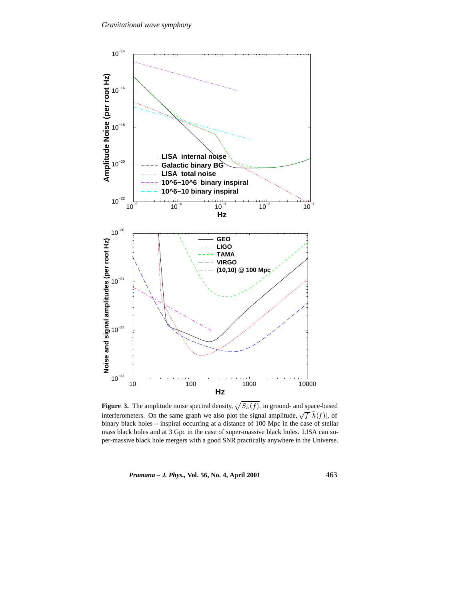

**Figure 3.** The amplitude noise spectral density,  $\sqrt{S_h(f)}$ , in ground- and space-based interferometers. On the same graph we also plot the signal amplitude,  $\sqrt{f}$  |h(f)|, of binary black holes – inspiral occurring at a distance of 100 Mpc in the case of stellar mass black holes and at 3 Gpc in the case of super-massive black holes. LISA can super-massive black hole mergers with a good SNR practically anywhere in the Universe.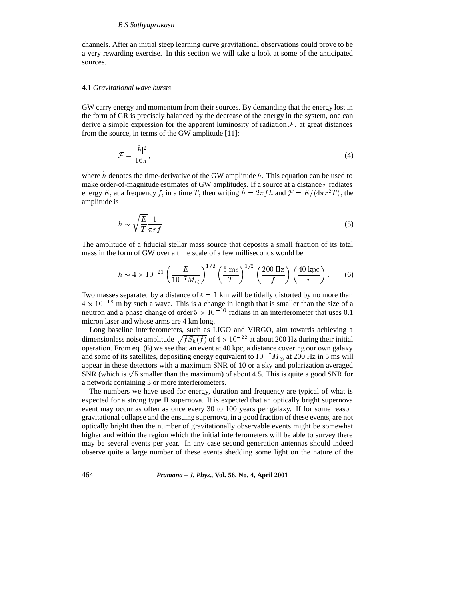channels. After an initial steep learning curve gravitational observations could prove to be a very rewarding exercise. In this section we will take a look at some of the anticipated sources.

# 4.1 *Gravitational wave bursts*

GW carry energy and momentum from their sources. By demanding that the energy lost in the form of GR is precisely balanced by the decrease of the energy in the system, one can derive a simple expression for the apparent luminosity of radiation  $F$ , at great distances from the source, in terms of the GW amplitude [11]:

$$
\mathcal{F} = \frac{|h|^2}{16\pi},\tag{4}
$$

where h denotes the time-derivative of the GW amplitude h. This equation can be used to make order-of-magnitude estimates of GW amplitudes. If a source at a distance  $r$  radiates energy E, at a frequency f, in a time T, then writing  $h = 2\pi f h$  and  $\mathcal{F} = E/(4\pi r^2 T)$ , the amplitude is

$$
h \sim \sqrt{\frac{E}{T}} \frac{1}{\pi r f}.
$$
\n<sup>(5)</sup>

The amplitude of a fiducial stellar mass source that deposits a small fraction of its total mass in the form of GW over a time scale of a few milliseconds would be

$$
h \sim 4 \times 10^{-21} \left(\frac{E}{10^{-7} M_{\odot}}\right)^{1/2} \left(\frac{5 \text{ ms}}{T}\right)^{1/2} \left(\frac{200 \text{ Hz}}{f}\right) \left(\frac{40 \text{ kpc}}{r}\right). \tag{6}
$$

Two masses separated by a distance of  $\ell = 1$  km will be tidally distorted by no more than  $4 \times 10^{-18}$  m by such a wave. This is a change in length that is smaller than the size of a neutron and a phase change of order  $5 \times 10^{-10}$  radians in an interferometer that uses 0.1 micron laser and whose arms are 4 km long.

Long baseline interferometers, such as LIGO and VIRGO, aim towards achieving a dimensionless noise amplitude  $\sqrt{f S_h(f)}$  of  $4 \times 10^{-22}$  at about 200 Hz during their initial operation. From eq. (6) we see that an event at 40 kpc, a distance covering our own galaxy and some of its satellites, depositing energy equivalent to  $10^{-7}M_{\odot}$  at 200 Hz in 5 ms will appear in these detectors with a maximum SNR of 10 or a sky and polarization averaged SNR (which is  $\sqrt{5}$  smaller than the maximum) of about 4.5. This is quite a good SNR for a network containing 3 or more interferometers.

The numbers we have used for energy, duration and frequency are typical of what is expected for a strong type II supernova. It is expected that an optically bright supernova event may occur as often as once every 30 to 100 years per galaxy. If for some reason gravitational collapse and the ensuing supernova, in a good fraction of these events, are not optically bright then the number of gravitationally observable events might be somewhat higher and within the region which the initial interferometers will be able to survey there may be several events per year. In any case second generation antennas should indeed observe quite a large number of these events shedding some light on the nature of the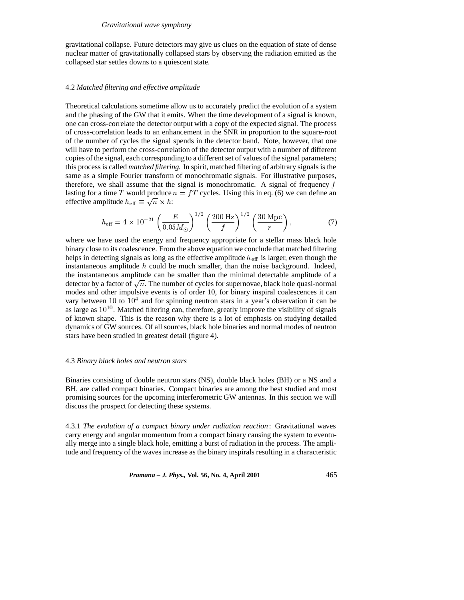gravitational collapse. Future detectors may give us clues on the equation of state of dense nuclear matter of gravitationally collapsed stars by observing the radiation emitted as the collapsed star settles downs to a quiescent state.

# 4.2 *Matched filtering and effective amplitude*

Theoretical calculations sometime allow us to accurately predict the evolution of a system and the phasing of the GW that it emits. When the time development of a signal is known, one can cross-correlate the detector output with a copy of the expected signal. The process of cross-correlation leads to an enhancement in the SNR in proportion to the square-root of the number of cycles the signal spends in the detector band. Note, however, that one will have to perform the cross-correlation of the detector output with a number of different copies of the signal, each corresponding to a different set of values of the signal parameters; this process is called *matched filtering.* In spirit, matched filtering of arbitrary signals is the same as a simple Fourier transform of monochromatic signals. For illustrative purposes, therefore, we shall assume that the signal is monochromatic. A signal of frequency  $f$ lasting for a time T would produce  $n = fT$  cycles. Using this in eq. (6) we can define an effective amplitude  $h_{\text{eff}} \equiv \sqrt{n} \times h$ :

$$
h_{\text{eff}} = 4 \times 10^{-21} \left( \frac{E}{0.05 M_{\odot}} \right)^{1/2} \left( \frac{200 \text{ Hz}}{f} \right)^{1/2} \left( \frac{30 \text{ Mpc}}{r} \right), \tag{7}
$$

where we have used the energy and frequency appropriate for a stellar mass black hole binary close to its coalescence. From the above equation we conclude that matched filtering helps in detecting signals as long as the effective amplitude  $h_{\text{eff}}$  is larger, even though the instantaneous amplitude  $h$  could be much smaller, than the noise background. Indeed, the instantaneous amplitude can be smaller than the minimal detectable amplitude of a detector by a factor of  $\sqrt{n}$ . The number of cycles for supernovae, black hole quasi-normal modes and other impulsive events is of order 10, for binary inspiral coalescences it can vary between 10 to  $10<sup>4</sup>$  and for spinning neutron stars in a year's observation it can be as large as  $10^{10}$ . Matched filtering can, therefore, greatly improve the visibility of signals of known shape. This is the reason why there is a lot of emphasis on studying detailed dynamics of GW sources. Of all sources, black hole binaries and normal modes of neutron stars have been studied in greatest detail (figure 4).

#### 4.3 *Binary black holes and neutron stars*

Binaries consisting of double neutron stars (NS), double black holes (BH) or a NS and a BH, are called compact binaries. Compact binaries are among the best studied and most promising sources for the upcoming interferometric GW antennas. In this section we will discuss the prospect for detecting these systems.

4.3.1 *The evolution of a compact binary under radiation reaction* : Gravitational waves carry energy and angular momentum from a compact binary causing the system to eventually merge into a single black hole, emitting a burst of radiation in the process. The amplitude and frequency of the waves increase as the binary inspirals resulting in a characteristic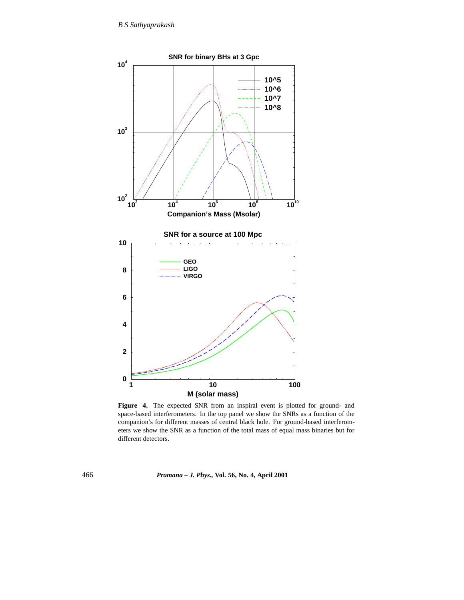

**Figure 4.** The expected SNR from an inspiral event is plotted for ground- and space-based interferometers. In the top panel we show the SNRs as a function of the companion's for different masses of central black hole. For ground-based interferometers we show the SNR as a function of the total mass of equal mass binaries but for different detectors.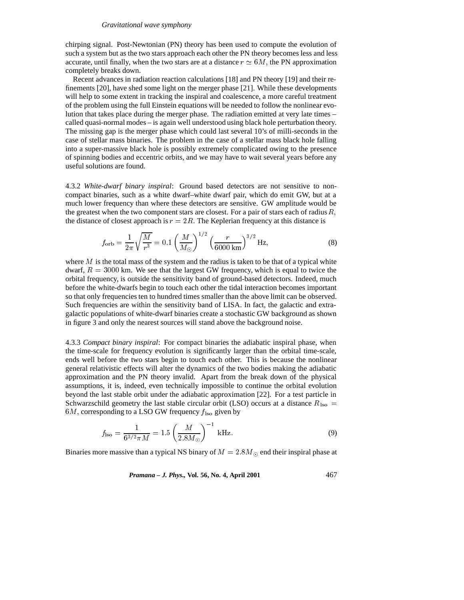chirping signal. Post-Newtonian (PN) theory has been used to compute the evolution of such a system but as the two stars approach each other the PN theory becomes less and less accurate, until finally, when the two stars are at a distance  $r \simeq 6M$ , the PN approximation completely breaks down.

Recent advances in radiation reaction calculations [18] and PN theory [19] and their refinements [20], have shed some light on the merger phase [21]. While these developments will help to some extent in tracking the inspiral and coalescence, a more careful treatment of the problem using the full Einstein equations will be needed to follow the nonlinear evolution that takes place during the merger phase. The radiation emitted at very late times – called quasi-normal modes – is again well understood using black hole perturbation theory. The missing gap is the merger phase which could last several 10's of milli-seconds in the case of stellar mass binaries. The problem in the case of a stellar mass black hole falling into a super-massive black hole is possibly extremely complicated owing to the presence of spinning bodies and eccentric orbits, and we may have to wait several years before any useful solutions are found.

4.3.2 *White-dwarf binary inspiral*: Ground based detectors are not sensitive to noncompact binaries, such as a white dwarf–white dwarf pair, which do emit GW, but at a much lower frequency than where these detectors are sensitive. GW amplitude would be the greatest when the two component stars are closest. For a pair of stars each of radius  $R$ , the distance of closest approach is  $r = 2R$ . The Keplerian frequency at this distance is

$$
f_{\rm orb} = \frac{1}{2\pi} \sqrt{\frac{M}{r^3}} = 0.1 \left(\frac{M}{M_{\odot}}\right)^{1/2} \left(\frac{r}{6000 \text{ km}}\right)^{3/2} \text{Hz},\tag{8}
$$

where  $M$  is the total mass of the system and the radius is taken to be that of a typical white dwarf,  $R = 3000$  km. We see that the largest GW frequency, which is equal to twice the orbital frequency, is outside the sensitivity band of ground-based detectors. Indeed, much before the white-dwarfs begin to touch each other the tidal interaction becomes important so that only frequencies ten to hundred times smaller than the above limit can be observed. Such frequencies are within the sensitivity band of LISA. In fact, the galactic and extragalactic populations of white-dwarf binaries create a stochastic GW background as shown in figure 3 and only the nearest sources will stand above the background noise.

4.3.3 *Compact binary inspiral*: For compact binaries the adiabatic inspiral phase, when the time-scale for frequency evolution is significantly larger than the orbital time-scale, ends well before the two stars begin to touch each other. This is because the nonlinear general relativistic effects will alter the dynamics of the two bodies making the adiabatic approximation and the PN theory invalid. Apart from the break down of the physical assumptions, it is, indeed, even technically impossible to continue the orbital evolution beyond the last stable orbit under the adiabatic approximation [22]. For a test particle in Schwarzschild geometry the last stable circular orbit (LSO) occurs at a distance  $R_{\text{ lso}} =$  $6M$ , corresponding to a LSO GW frequency  $f_{\text{Iso}}$  given by

$$
f_{\rm lso} = \frac{1}{6^{3/2}\pi M} = 1.5 \left(\frac{M}{2.8M_{\odot}}\right)^{-1} \, \text{kHz.}
$$
 (9)

Binaries more massive than a typical NS binary of  $M = 2.8 M_{\odot}$  end their inspiral phase at

*Pramana – J. Phys.,* **Vol. 56, No. 4, April 2001** 467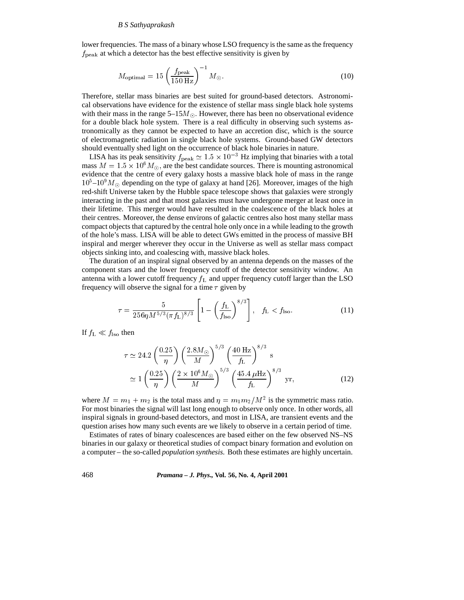lower frequencies. The mass of a binary whose LSO frequency is the same as the frequency  $f_{\text{peak}}$  at which a detector has the best effective sensitivity is given by

$$
M_{\text{optimal}} = 15 \left( \frac{f_{\text{peak}}}{150 \text{ Hz}} \right)^{-1} M_{\odot}.
$$
 (10)

Therefore, stellar mass binaries are best suited for ground-based detectors. Astronomical observations have evidence for the existence of stellar mass single black hole systems with their mass in the range  $5-15M_{\odot}$ . However, there has been no observational evidence for a double black hole system. There is a real difficulty in observing such systems astronomically as they cannot be expected to have an accretion disc, which is the source of electromagnetic radiation in single black hole systems. Ground-based GW detectors should eventually shed light on the occurrence of black hole binaries in nature.

LISA has its peak sensitivity  $f_{\text{peak}} \simeq 1.5 \times 10^{-3}$  Hz implying that binaries with a total mass  $M = 1.5 \times 10^6 M_{\odot}$ , are the best candidate sources. There is mounting astronomical evidence that the centre of every galaxy hosts a massive black hole of mass in the range  $10^5$ – $10^9$  $M_{\odot}$  depending on the type of galaxy at hand [26]. Moreover, images of the high red-shift Universe taken by the Hubble space telescope shows that galaxies were strongly interacting in the past and that most galaxies must have undergone merger at least once in their lifetime. This merger would have resulted in the coalescence of the black holes at their centres. Moreover, the dense environs of galactic centres also host many stellar mass compact objects that captured by the central hole only once in a while leading to the growth of the hole's mass. LISA will be able to detect GWs emitted in the process of massive BH inspiral and merger wherever they occur in the Universe as well as stellar mass compact objects sinking into, and coalescing with, massive black holes.

The duration of an inspiral signal observed by an antenna depends on the masses of the component stars and the lower frequency cutoff of the detector sensitivity window. An antenna with a lower cutoff frequency  $f_L$  and upper frequency cutoff larger than the LSO frequency will observe the signal for a time  $\tau$  given by

$$
\tau = \frac{5}{256 \eta M^{5/3} (\pi f_L)^{8/3}} \left[ 1 - \left( \frac{f_L}{f_{\text{Iso}}} \right)^{8/3} \right], \quad f_L < f_{\text{Iso}}. \tag{11}
$$

If  $f_L \ll f_{\text{lso}}$  then

$$
\tau \simeq 24.2 \left(\frac{0.25}{\eta}\right) \left(\frac{2.8M_{\odot}}{M}\right)^{5/3} \left(\frac{40 \text{ Hz}}{f_{\rm L}}\right)^{8/3} \text{s}
$$

$$
\simeq 1 \left(\frac{0.25}{\eta}\right) \left(\frac{2 \times 10^6 M_{\odot}}{M}\right)^{5/3} \left(\frac{45.4 \text{ }\mu\text{Hz}}{f_{\rm L}}\right)^{8/3} \text{ yr},\tag{12}
$$

where  $M = m_1 + m_2$  is the total mass and  $\eta = m_1 m_2 / M^2$  is the symmetric mass ratio. For most binaries the signal will last long enough to observe only once. In other words, all inspiral signals in ground-based detectors, and most in LISA, are transient events and the question arises how many such events are we likely to observe in a certain period of time.

Estimates of rates of binary coalescences are based either on the few observed NS–NS binaries in our galaxy or theoretical studies of compact binary formation and evolution on a computer – the so-called *population synthesis.* Both these estimates are highly uncertain.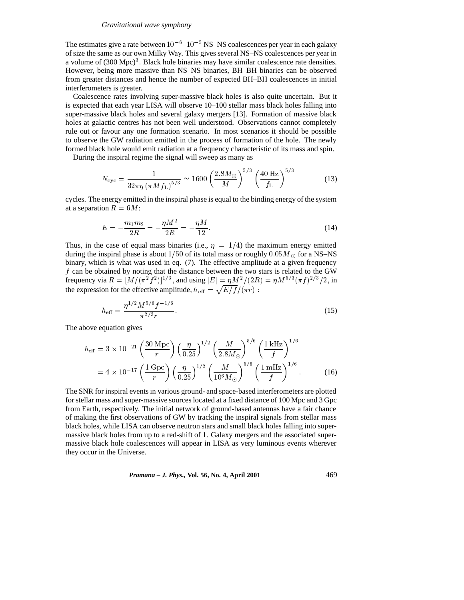The estimates give a rate between  $10^{-6}$ – $10^{-5}$  NS–NS coalescences per year in each galaxy of size the same as our own Milky Way. This gives several NS–NS coalescences per year in a volume of  $(300 \text{ Mpc})^3$ . Black hole binaries may have similar coalescence rate densities. However, being more massive than NS–NS binaries, BH–BH binaries can be observed from greater distances and hence the number of expected BH–BH coalescences in initial interferometers is greater.

Coalescence rates involving super-massive black holes is also quite uncertain. But it is expected that each year LISA will observe 10–100 stellar mass black holes falling into super-massive black holes and several galaxy mergers [13]. Formation of massive black holes at galactic centres has not been well understood. Observations cannot completely rule out or favour any one formation scenario. In most scenarios it should be possible to observe the GW radiation emitted in the process of formation of the hole. The newly formed black hole would emit radiation at a frequency characteristic of its mass and spin.

During the inspiral regime the signal will sweep as many as

$$
N_{\rm cyc} = \frac{1}{32\pi\eta \left(\pi M f_{\rm L}\right)^{5/3}} \simeq 1600 \left(\frac{2.8M_{\odot}}{M}\right)^{5/3} \left(\frac{40 \text{ Hz}}{f_{\rm L}}\right)^{5/3} \tag{13}
$$

cycles. The energy emitted in the inspiral phase is equal to the binding energy of the system at a separation  $R = 6M$ :

$$
E = -\frac{m_1 m_2}{2R} = -\frac{\eta M^2}{2R} = -\frac{\eta M}{12}.
$$
\n(14)

Thus, in the case of equal mass binaries (i.e.,  $\eta = 1/4$ ) the maximum energy emitted during the inspiral phase is about  $1/50$  of its total mass or roughly  $0.05M_{\odot}$  for a NS–NS binary, which is what was used in eq. (7). The effective amplitude at a given frequency f can be obtained by noting that the distance between the two stars is related to the GW frequency via  $R = [M/(\pi^2 f^2)]^{1/3}$ , and using  $|E| = \eta M^2/(2R) = \eta M^{5/3} (\pi f)^{2/3} / 2$ , in the expression for the effective amplitude,  $h_{\text{eff}} = \sqrt{E/f}/(\pi r)$ :

$$
h_{\text{eff}} = \frac{\eta^{1/2} M^{5/6} f^{-1/6}}{\pi^{2/3} r}.
$$
\n(15)

The above equation gives

$$
h_{\text{eff}} = 3 \times 10^{-21} \left( \frac{30 \text{ Mpc}}{r} \right) \left( \frac{\eta}{0.25} \right)^{1/2} \left( \frac{M}{2.8 M_{\odot}} \right)^{5/6} \left( \frac{1 \text{ kHz}}{f} \right)^{1/6}
$$

$$
= 4 \times 10^{-17} \left( \frac{1 \text{ Gpc}}{r} \right) \left( \frac{\eta}{0.25} \right)^{1/2} \left( \frac{M}{10^6 M_{\odot}} \right)^{5/6} \left( \frac{1 \text{ mHz}}{f} \right)^{1/6} . \tag{16}
$$

The SNR for inspiral events in various ground- and space-based interferometers are plotted for stellar mass and super-massive sources located at a fixed distance of 100 Mpc and 3 Gpc from Earth, respectively. The initial network of ground-based antennas have a fair chance of making the first observations of GW by tracking the inspiral signals from stellar mass black holes, while LISA can observe neutron stars and small black holes falling into supermassive black holes from up to a red-shift of 1. Galaxy mergers and the associated supermassive black hole coalescences will appear in LISA as very luminous events wherever they occur in the Universe.

*Pramana – J. Phys.,* **Vol. 56, No. 4, April 2001** 469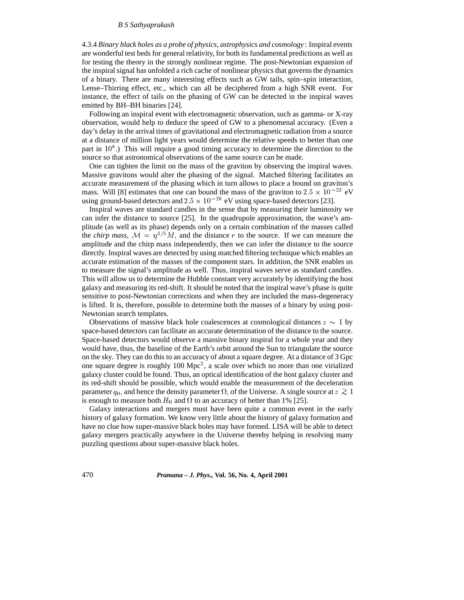4.3.4 *Binary black holes as a probe of physics, astrophysics and cosmology* : Inspiral events are wonderful test beds for general relativity, for both its fundamental predictions as well as for testing the theory in the strongly nonlinear regime. The post-Newtonian expansion of the inspiral signal has unfolded a rich cache of nonlinear physics that governs the dynamics of a binary. There are many interesting effects such as GW tails, spin–spin interaction, Lense–Thirring effect, etc., which can all be deciphered from a high SNR event. For instance, the effect of tails on the phasing of GW can be detected in the inspiral waves emitted by BH–BH binaries [24].

Following an inspiral event with electromagnetic observation, such as gamma- or X-ray observation, would help to deduce the speed of GW to a phenomenal accuracy. (Even a day's delay in the arrival times of gravitational and electromagnetic radiation from a source at a distance of million light years would determine the relative speeds to better than one part in  $10^8$ .) This will require a good timing accuracy to determine the direction to the source so that astronomical observations of the same source can be made.

One can tighten the limit on the mass of the graviton by observing the inspiral waves. Massive gravitons would alter the phasing of the signal. Matched filtering facilitates an accurate measurement of the phasing which in turn allows to place a bound on graviton's mass. Will [8] estimates that one can bound the mass of the graviton to  $2.5 \times 10^{-22}$  eV using ground-based detectors and  $2.5 \times 10^{-26}$  eV using space-based detectors [23].

Inspiral waves are standard candles in the sense that by measuring their luminosity we can infer the distance to source [25]. In the quadrupole approximation, the wave's amplitude (as well as its phase) depends only on a certain combination of the masses called the *chirp mass,*  $M = \eta^{3/5} M$ , and the distance r to the source. If we can measure the amplitude and the chirp mass independently, then we can infer the distance to the source directly. Inspiral waves are detected by using matched filtering technique which enables an accurate estimation of the masses of the component stars. In addition, the SNR enables us to measure the signal's amplitude as well. Thus, inspiral waves serve as standard candles. This will allow us to determine the Hubble constant very accurately by identifying the host galaxy and measuring its red-shift. It should be noted that the inspiral wave's phase is quite sensitive to post-Newtonian corrections and when they are included the mass-degeneracy is lifted. It is, therefore, possible to determine both the masses of a binary by using post-Newtonian search templates.

Observations of massive black hole coalescences at cosmological distances  $z \sim 1$  by space-based detectors can facilitate an accurate determination of the distance to the source. Space-based detectors would observe a massive binary inspiral for a whole year and they would have, thus, the baseline of the Earth's orbit around the Sun to triangulate the source on the sky. They can do this to an accuracy of about a square degree. At a distance of 3 Gpc one square degree is roughly  $100 \text{ Mpc}^2$ , a scale over which no more than one virialized galaxy cluster could be found. Thus, an optical identification of the host galaxy cluster and its red-shift should be possible, which would enable the measurement of the deceleration parameter  $q_0$ , and hence the density parameter  $\Omega$ , of the Universe. A single source at  $z \gtrsim 1$ is enough to measure both  $H_0$  and  $\Omega$  to an accuracy of better than 1% [25].

Galaxy interactions and mergers must have been quite a common event in the early history of galaxy formation. We know very little about the history of galaxy formation and have no clue how super-massive black holes may have formed. LISA will be able to detect galaxy mergers practically anywhere in the Universe thereby helping in resolving many puzzling questions about super-massive black holes.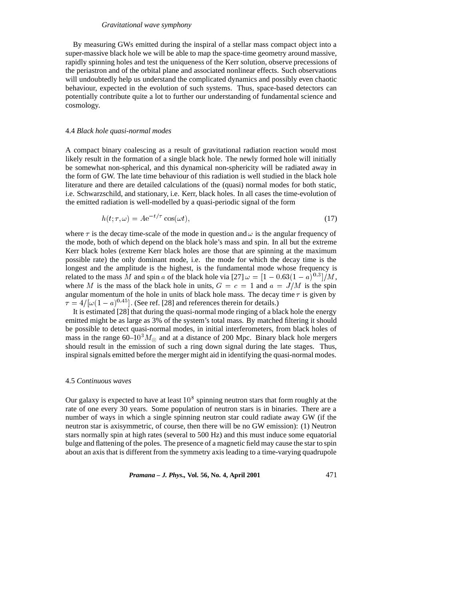By measuring GWs emitted during the inspiral of a stellar mass compact object into a super-massive black hole we will be able to map the space-time geometry around massive, rapidly spinning holes and test the uniqueness of the Kerr solution, observe precessions of the periastron and of the orbital plane and associated nonlinear effects. Such observations will undoubtedly help us understand the complicated dynamics and possibly even chaotic behaviour, expected in the evolution of such systems. Thus, space-based detectors can potentially contribute quite a lot to further our understanding of fundamental science and cosmology.

#### 4.4 *Black hole quasi-normal modes*

A compact binary coalescing as a result of gravitational radiation reaction would most likely result in the formation of a single black hole. The newly formed hole will initially be somewhat non-spherical, and this dynamical non-sphericity will be radiated away in the form of GW. The late time behaviour of this radiation is well studied in the black hole literature and there are detailed calculations of the (quasi) normal modes for both static, i.e. Schwarzschild, and stationary, i.e. Kerr, black holes. In all cases the time-evolution of the emitted radiation is well-modelled by a quasi-periodic signal of the form

$$
h(t; \tau, \omega) = A e^{-t/\tau} \cos(\omega t), \qquad (17)
$$

where  $\tau$  is the decay time-scale of the mode in question and  $\omega$  is the angular frequency of the mode, both of which depend on the black hole's mass and spin. In all but the extreme Kerr black holes (extreme Kerr black holes are those that are spinning at the maximum possible rate) the only dominant mode, i.e. the mode for which the decay time is the longest and the amplitude is the highest, is the fundamental mode whose frequency is related to the mass M and spin a of the black hole via  $[27] \omega = [1 - 0.63(1 - a)^{0.3}]/M$ , where M is the mass of the black hole in units,  $G = c = 1$  and  $a = J/M$  is the spin angular momentum of the hole in units of black hole mass. The decay time  $\tau$  is given by  $\tau = 4/[\omega(1 - a)^{0.45}]$ . (See ref. [28] and references therein for details.)

It is estimated [28] that during the quasi-normal mode ringing of a black hole the energy emitted might be as large as 3% of the system's total mass. By matched filtering it should be possible to detect quasi-normal modes, in initial interferometers, from black holes of mass in the range  $60-10^{3}M_{\odot}$  and at a distance of 200 Mpc. Binary black hole mergers should result in the emission of such a ring down signal during the late stages. Thus, inspiral signals emitted before the merger might aid in identifying the quasi-normal modes.

#### 4.5 *Continuous waves*

Our galaxy is expected to have at least  $10<sup>8</sup>$  spinning neutron stars that form roughly at the rate of one every 30 years. Some population of neutron stars is in binaries. There are a number of ways in which a single spinning neutron star could radiate away GW (if the neutron star is axisymmetric, of course, then there will be no GW emission): (1) Neutron stars normally spin at high rates (several to 500 Hz) and this must induce some equatorial bulge and flattening of the poles. The presence of a magnetic field may cause the star to spin about an axis that is different from the symmetry axis leading to a time-varying quadrupole

*Pramana – J. Phys.,* **Vol. 56, No. 4, April 2001** 471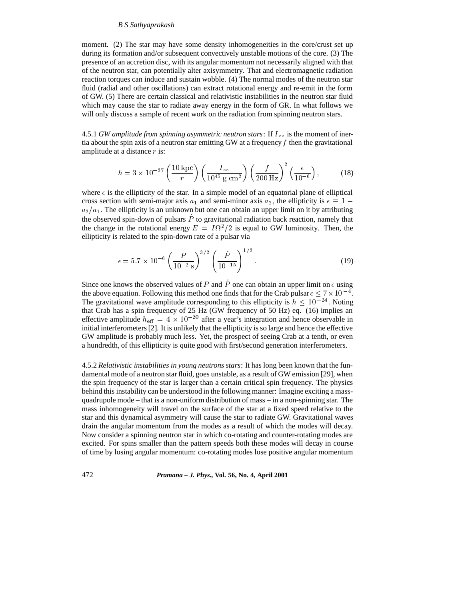moment. (2) The star may have some density inhomogeneities in the core/crust set up during its formation and/or subsequent convectively unstable motions of the core. (3) The presence of an accretion disc, with its angular momentum not necessarily aligned with that of the neutron star, can potentially alter axisymmetry. That and electromagnetic radiation reaction torques can induce and sustain wobble. (4) The normal modes of the neutron star fluid (radial and other oscillations) can extract rotational energy and re-emit in the form of GW. (5) There are certain classical and relativistic instabilities in the neutron star fluid which may cause the star to radiate away energy in the form of GR. In what follows we will only discuss a sample of recent work on the radiation from spinning neutron stars.

4.5.1 *GW amplitude from spinning asymmetric neutron stars*: If  $I_{zz}$  is the moment of inertia about the spin axis of a neutron star emitting GW at a frequency  $f$  then the gravitational amplitude at a distance r is:

$$
h = 3 \times 10^{-27} \left(\frac{10 \text{ kpc}}{r}\right) \left(\frac{I_{zz}}{10^{45} \text{ g cm}^2}\right) \left(\frac{f}{200 \text{ Hz}}\right)^2 \left(\frac{\epsilon}{10^{-6}}\right),\tag{18}
$$

where  $\epsilon$  is the ellipticity of the star. In a simple model of an equatorial plane of elliptical cross section with semi-major axis  $a_1$  and semi-minor axis  $a_2$ , the ellipticity is  $\epsilon \equiv 1$  –  $a_2/a_1$ . The ellipticity is an unknown but one can obtain an upper limit on it by attributing the observed spin-down of pulsars  $P$  to gravitational radiation back reaction, namely that the change in the rotational energy  $E = I\Omega^2/2$  is equal to GW luminosity. Then, the ellipticity is related to the spin-down rate of a pulsar via

$$
\epsilon = 5.7 \times 10^{-6} \left( \frac{P}{10^{-2} \text{ s}} \right)^{3/2} \left( \frac{\dot{P}}{10^{-15}} \right)^{1/2}.
$$
 (19)

Since one knows the observed values of P and P one can obtain an upper limit on  $\epsilon$  using the above equation. Following this method one finds that for the Crab pulsar  $\epsilon \leq 7 \times 10^{-4}$ . The gravitational wave amplitude corresponding to this ellipticity is  $h \leq 10^{-24}$ . Noting that Crab has a spin frequency of 25 Hz (GW frequency of 50 Hz) eq. (16) implies an effective amplitude  $h_{\text{eff}} = 4 \times 10^{-20}$  after a year's integration and hence observable in initial interferometers [2]. It is unlikely that the ellipticity is so large and hence the effective GW amplitude is probably much less. Yet, the prospect of seeing Crab at a tenth, or even a hundredth, of this ellipticity is quite good with first/second generation interferometers.

4.5.2 *Relativistic instabilities in young neutrons stars*: It has long been known that the fundamental mode of a neutron star fluid, goes unstable, as a result of GW emission [29], when the spin frequency of the star is larger than a certain critical spin frequency. The physics behind this instability can be understood in the following manner: Imagine exciting a massquadrupole mode – that is a non-uniform distribution of mass – in a non-spinning star. The mass inhomogeneity will travel on the surface of the star at a fixed speed relative to the star and this dynamical asymmetry will cause the star to radiate GW. Gravitational waves drain the angular momentum from the modes as a result of which the modes will decay. Now consider a spinning neutron star in which co-rotating and counter-rotating modes are excited. For spins smaller than the pattern speeds both these modes will decay in course of time by losing angular momentum: co-rotating modes lose positive angular momentum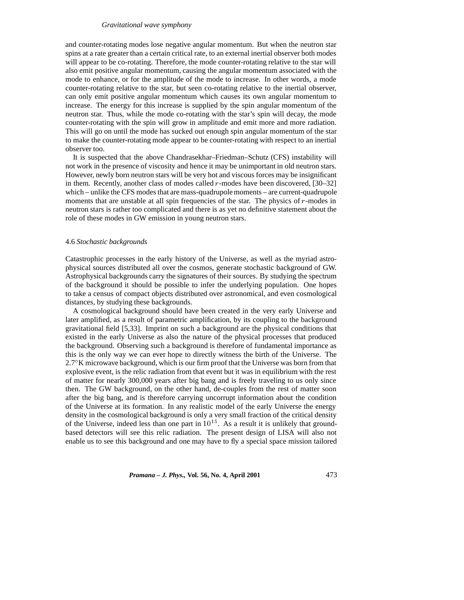and counter-rotating modes lose negative angular momentum. But when the neutron star spins at a rate greater than a certain critical rate, to an external inertial observer both modes will appear to be co-rotating. Therefore, the mode counter-rotating relative to the star will also emit positive angular momentum, causing the angular momentum associated with the mode to enhance, or for the amplitude of the mode to increase. In other words, a mode counter-rotating relative to the star, but seen co-rotating relative to the inertial observer, can only emit positive angular momentum which causes its own angular momentum to increase. The energy for this increase is supplied by the spin angular momentum of the neutron star. Thus, while the mode co-rotating with the star's spin will decay, the mode counter-rotating with the spin will grow in amplitude and emit more and more radiation. This will go on until the mode has sucked out enough spin angular momentum of the star to make the counter-rotating mode appear to be counter-rotating with respect to an inertial observer too.

It is suspected that the above Chandrasekhar–Friedman–Schutz (CFS) instability will not work in the presence of viscosity and hence it may be unimportant in old neutron stars. However, newly born neutron stars will be very hot and viscous forces may be insignificant in them. Recently, another class of modes called r-modes have been discovered, [30–32] which – unlike the CFS modes that are mass-quadrupole moments – are current-quadrupole moments that are unstable at all spin frequencies of the star. The physics of  $r$ -modes in neutron stars is rather too complicated and there is as yet no definitive statement about the role of these modes in GW emission in young neutron stars.

# 4.6 *Stochastic backgrounds*

Catastrophic processes in the early history of the Universe, as well as the myriad astrophysical sources distributed all over the cosmos, generate stochastic background of GW. Astrophysical backgrounds carry the signatures of their sources. By studying the spectrum of the background it should be possible to infer the underlying population. One hopes to take a census of compact objects distributed over astronomical, and even cosmological distances, by studying these backgrounds.

A cosmological background should have been created in the very early Universe and later amplified, as a result of parametric amplification, by its coupling to the background gravitational field [5,33]. Imprint on such a background are the physical conditions that existed in the early Universe as also the nature of the physical processes that produced the background. Observing such a background is therefore of fundamental importance as this is the only way we can ever hope to directly witness the birth of the Universe. The 2.7°K microwave background, which is our firm proof that the Universe was born from that explosive event, is the relic radiation from that event but it was in equilibrium with the rest of matter for nearly 300,000 years after big bang and is freely traveling to us only since then. The GW background, on the other hand, de-couples from the rest of matter soon after the big bang, and is therefore carrying uncorrupt information about the condition of the Universe at its formation. In any realistic model of the early Universe the energy density in the cosmological background is only a very small fraction of the critical density of the Universe, indeed less than one part in  $10^{15}$ . As a result it is unlikely that groundbased detectors will see this relic radiation. The present design of LISA will also not enable us to see this background and one may have to fly a special space mission tailored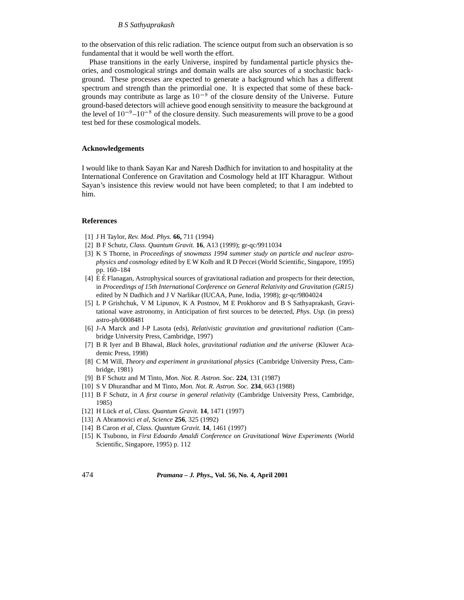to the observation of this relic radiation. The science output from such an observation is so fundamental that it would be well worth the effort.

Phase transitions in the early Universe, inspired by fundamental particle physics theories, and cosmological strings and domain walls are also sources of a stochastic background. These processes are expected to generate a background which has a different spectrum and strength than the primordial one. It is expected that some of these backgrounds may contribute as large as  $10^{-9}$  of the closure density of the Universe. Future ground-based detectors will achieve good enough sensitivity to measure the background at the level of  $10^{-9}$ – $10^{-8}$  of the closure density. Such measurements will prove to be a good test bed for these cosmological models.

# **Acknowledgements**

I would like to thank Sayan Kar and Naresh Dadhich for invitation to and hospitality at the International Conference on Gravitation and Cosmology held at IIT Kharagpur. Without Sayan's insistence this review would not have been completed; to that I am indebted to him.

# **References**

- [1] J H Taylor, *Rev. Mod. Phys.* **66,** 711 (1994)
- [2] B F Schutz, *Class. Quantum Gravit.* **16**, A13 (1999); gr-qc/9911034
- [3] K S Thorne, in *Proceedings of snowmass 1994 summer study on particle and nuclear astrophysics and cosmology* edited by E W Kolb and R D Peccei (World Scientific, Singapore, 1995) pp. 160–184
- [4] É É Flanagan, Astrophysical sources of gravitational radiation and prospects for their detection, in *Proceedings of 15th International Conference on General Relativity and Gravitation (GR15)* edited by N Dadhich and J V Narlikar (IUCAA, Pune, India, 1998); gr-qc/9804024
- [5] L P Grishchuk, V M Lipunov, K A Postnov, M E Prokhorov and B S Sathyaprakash, Gravitational wave astronomy, in Anticipation of first sources to be detected, *Phys. Usp.* (in press) astro-ph/0008481
- [6] J-A Marck and J-P Lasota (eds), *Relativistic gravitation and gravitational radiation* (Cambridge University Press, Cambridge, 1997)
- [7] B R Iyer and B Bhawal, *Black holes, gravitational radiation and the universe* (Kluwer Academic Press, 1998)
- [8] C M Will, *Theory and experiment in gravitational physics* (Cambridge University Press, Cambridge, 1981)
- [9] B F Schutz and M Tinto, *Mon. Not. R. Astron. Soc.* **224**, 131 (1987)
- [10] S V Dhurandhar and M Tinto, *Mon. Not. R. Astron. Soc.* **234**, 663 (1988)
- [11] B F Schutz, in *A first course in general relativity* (Cambridge University Press, Cambridge, 1985)
- [12] H L¨uck *et al*, *Class. Quantum Gravit.* **14**, 1471 (1997)
- [13] A Abramovici *et al*, *Science* **256**, 325 (1992)
- [14] B Caron *et al*, *Class. Quantum Gravit.* **14**, 1461 (1997)
- [15] K Tsubono, in *First Edoardo Amaldi Conference on Gravitational Wave Experiments* (World Scientific, Singapore, 1995) p. 112